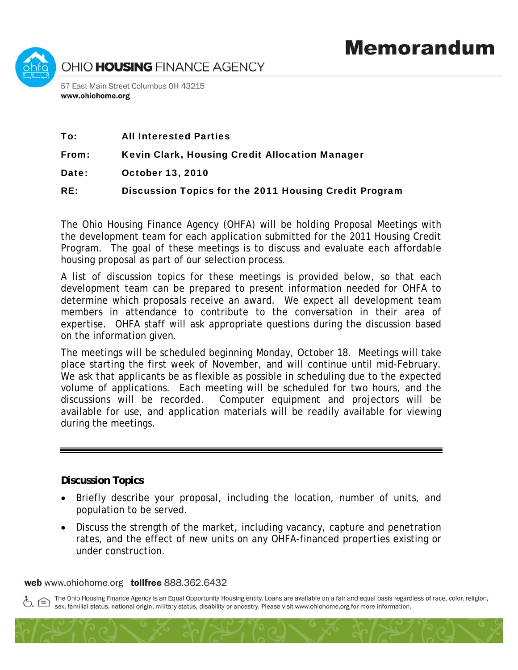

| To: | <b>All Interested Parties</b> |  |
|-----|-------------------------------|--|
|     |                               |  |

From: Kevin Clark, Housing Credit Allocation Manager

Date: October 13, 2010

RE: Discussion Topics for the 2011 Housing Credit Program

The Ohio Housing Finance Agency (OHFA) will be holding Proposal Meetings with the development team for each application submitted for the 2011 Housing Credit Program. The goal of these meetings is to discuss and evaluate each affordable housing proposal as part of our selection process.

A list of discussion topics for these meetings is provided below, so that each development team can be prepared to present information needed for OHFA to determine which proposals receive an award. We expect all development team members in attendance to contribute to the conversation in their area of expertise. OHFA staff will ask appropriate questions during the discussion based on the information given.

The meetings will be scheduled beginning Monday, October 18. Meetings will take place starting the first week of November, and will continue until mid-February. We ask that applicants be as flexible as possible in scheduling due to the expected volume of applications. Each meeting will be scheduled for two hours, and the discussions will be recorded. Computer equipment and projectors will be available for use, and application materials will be readily available for viewing during the meetings.

## **Discussion Topics**

- Briefly describe your proposal, including the location, number of units, and population to be served.
- Discuss the strength of the market, including vacancy, capture and penetration rates, and the effect of new units on any OHFA-financed properties existing or under construction.

## web www.ohiohome.org | tollfree 888.362.6432

The Ohio Housing Finance Agency is an Equal Opportunity Housing entity. Loans are available on a fair and equal basis regardless of race, color, religion, sex, familial status, national origin, military status, disability or ancestry. Please visit www.ohiohome.org for more information.

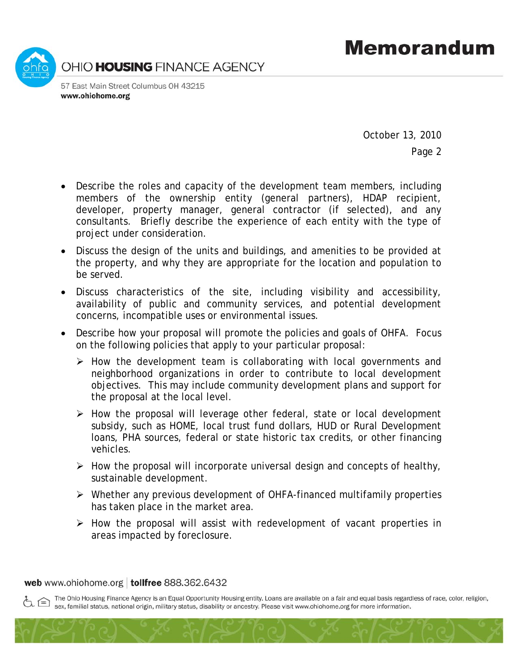

October 13, 2010

Page 2

- Describe the roles and capacity of the development team members, including members of the ownership entity (general partners), HDAP recipient, developer, property manager, general contractor (if selected), and any consultants. Briefly describe the experience of each entity with the type of project under consideration.
- Discuss the design of the units and buildings, and amenities to be provided at the property, and why they are appropriate for the location and population to be served.
- Discuss characteristics of the site, including visibility and accessibility, availability of public and community services, and potential development concerns, incompatible uses or environmental issues.
- Describe how your proposal will promote the policies and goals of OHFA. Focus on the following policies that apply to your particular proposal:
	- $\triangleright$  How the development team is collaborating with local governments and neighborhood organizations in order to contribute to local development objectives. This may include community development plans and support for the proposal at the local level.
	- $\triangleright$  How the proposal will leverage other federal, state or local development subsidy, such as HOME, local trust fund dollars, HUD or Rural Development loans, PHA sources, federal or state historic tax credits, or other financing vehicles.
	- $\triangleright$  How the proposal will incorporate universal design and concepts of healthy, sustainable development.
	- ¾ Whether any previous development of OHFA-financed multifamily properties has taken place in the market area.
	- $\triangleright$  How the proposal will assist with redevelopment of vacant properties in areas impacted by foreclosure.

web www.ohiohome.org | tollfree 888.362.6432

The Ohio Housing Finance Agency is an Equal Opportunity Housing entity. Loans are available on a fair and equal basis regardless of race, color, religion, sex, familial status, national origin, military status, disability or ancestry. Please visit www.ohiohome.org for more information.